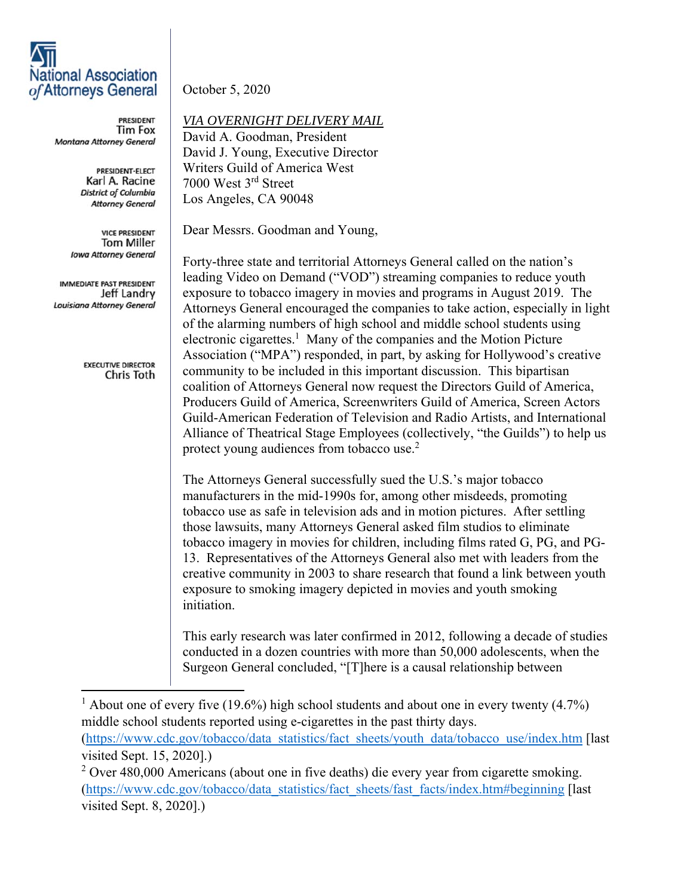## **National Association** of Attorneys General

**PRESIDENT Tim Fox** Montana Attorney General

> PRESIDENT-ELECT Karl A. Racine **District of Columbia Attorney General**

**VICE PRESIDENT Tom Miller Iowa Attorney General** 

IMMEDIATE PAST PRESIDENT Jeff Landry **Louisiana Attorney General** 

> **EXECUTIVE DIRECTOR** Chris Toth

October 5, 2020

*VIA OVERNIGHT DELIVERY MAIL* 

David A. Goodman, President David J. Young, Executive Director Writers Guild of America West 7000 West 3rd Street Los Angeles, CA 90048

Dear Messrs. Goodman and Young,

Forty-three state and territorial Attorneys General called on the nation's leading Video on Demand ("VOD") streaming companies to reduce youth exposure to tobacco imagery in movies and programs in August 2019. The Attorneys General encouraged the companies to take action, especially in light of the alarming numbers of high school and middle school students using electronic cigarettes.<sup>1</sup> Many of the companies and the Motion Picture Association ("MPA") responded, in part, by asking for Hollywood's creative community to be included in this important discussion. This bipartisan coalition of Attorneys General now request the Directors Guild of America, Producers Guild of America, Screenwriters Guild of America, Screen Actors Guild-American Federation of Television and Radio Artists, and International Alliance of Theatrical Stage Employees (collectively, "the Guilds") to help us protect young audiences from tobacco use.<sup>2</sup>

The Attorneys General successfully sued the U.S.'s major tobacco manufacturers in the mid-1990s for, among other misdeeds, promoting tobacco use as safe in television ads and in motion pictures. After settling those lawsuits, many Attorneys General asked film studios to eliminate tobacco imagery in movies for children, including films rated G, PG, and PG-13. Representatives of the Attorneys General also met with leaders from the creative community in 2003 to share research that found a link between youth exposure to smoking imagery depicted in movies and youth smoking initiation.

This early research was later confirmed in 2012, following a decade of studies conducted in a dozen countries with more than 50,000 adolescents, when the Surgeon General concluded, "[T]here is a causal relationship between

<sup>1</sup> About one of every five (19.6%) high school students and about one in every twenty (4.7%) middle school students reported using e-cigarettes in the past thirty days. (https://www.cdc.gov/tobacco/data\_statistics/fact\_sheets/youth\_data/tobacco\_use/index.htm [last visited Sept. 15, 2020].)

 $2$  Over 480,000 Americans (about one in five deaths) die every year from cigarette smoking. (https://www.cdc.gov/tobacco/data\_statistics/fact\_sheets/fast\_facts/index.htm#beginning [last visited Sept. 8, 2020].)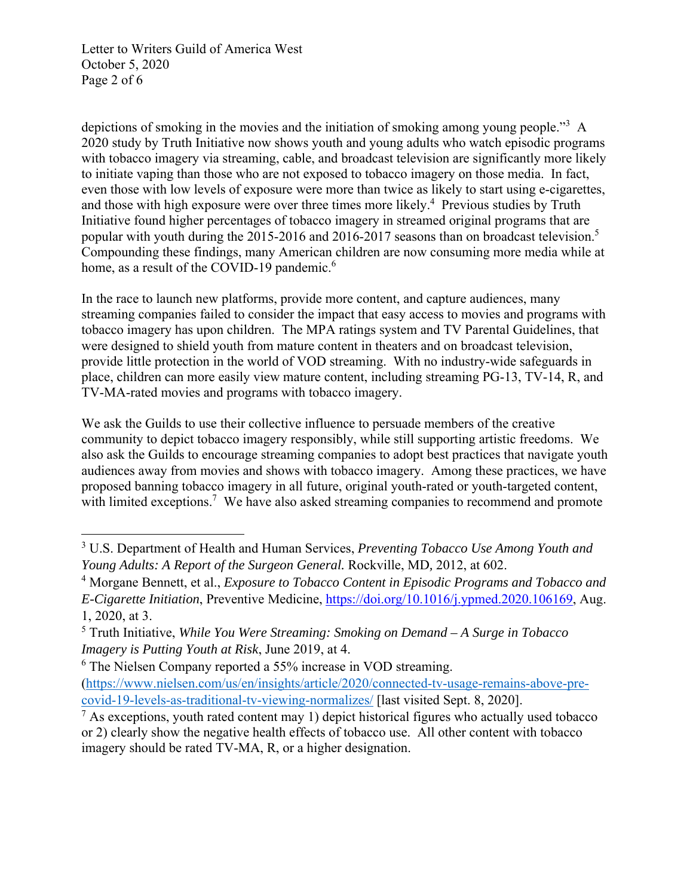Letter to Writers Guild of America West October 5, 2020 Page 2 of 6

depictions of smoking in the movies and the initiation of smoking among young people."<sup>3</sup> A 2020 study by Truth Initiative now shows youth and young adults who watch episodic programs with tobacco imagery via streaming, cable, and broadcast television are significantly more likely to initiate vaping than those who are not exposed to tobacco imagery on those media. In fact, even those with low levels of exposure were more than twice as likely to start using e-cigarettes, and those with high exposure were over three times more likely.<sup>4</sup> Previous studies by Truth Initiative found higher percentages of tobacco imagery in streamed original programs that are popular with youth during the 2015-2016 and 2016-2017 seasons than on broadcast television.<sup>5</sup> Compounding these findings, many American children are now consuming more media while at home, as a result of the COVID-19 pandemic.<sup>6</sup>

In the race to launch new platforms, provide more content, and capture audiences, many streaming companies failed to consider the impact that easy access to movies and programs with tobacco imagery has upon children. The MPA ratings system and TV Parental Guidelines, that were designed to shield youth from mature content in theaters and on broadcast television, provide little protection in the world of VOD streaming. With no industry-wide safeguards in place, children can more easily view mature content, including streaming PG-13, TV-14, R, and TV-MA-rated movies and programs with tobacco imagery.

We ask the Guilds to use their collective influence to persuade members of the creative community to depict tobacco imagery responsibly, while still supporting artistic freedoms. We also ask the Guilds to encourage streaming companies to adopt best practices that navigate youth audiences away from movies and shows with tobacco imagery. Among these practices, we have proposed banning tobacco imagery in all future, original youth-rated or youth-targeted content, with limited exceptions.<sup>7</sup> We have also asked streaming companies to recommend and promote

<sup>3</sup> U.S. Department of Health and Human Services, *Preventing Tobacco Use Among Youth and Young Adults: A Report of the Surgeon General.* Rockville, MD*,* 2012, at 602.

<sup>&</sup>lt;sup>4</sup> Morgane Bennett, et al., *Exposure to Tobacco Content in Episodic Programs and Tobacco and E-Cigarette Initiation*, Preventive Medicine, https://doi.org/10.1016/j.ypmed.2020.106169, Aug. 1, 2020, at 3.

<sup>5</sup> Truth Initiative, *While You Were Streaming: Smoking on Demand – A Surge in Tobacco Imagery is Putting Youth at Risk*, June 2019, at 4.

<sup>&</sup>lt;sup>6</sup> The Nielsen Company reported a 55% increase in VOD streaming.

<sup>(</sup>https://www.nielsen.com/us/en/insights/article/2020/connected-tv-usage-remains-above-precovid-19-levels-as-traditional-tv-viewing-normalizes/ [last visited Sept. 8, 2020].

 $<sup>7</sup>$  As exceptions, youth rated content may 1) depict historical figures who actually used tobacco</sup> or 2) clearly show the negative health effects of tobacco use. All other content with tobacco imagery should be rated TV-MA, R, or a higher designation.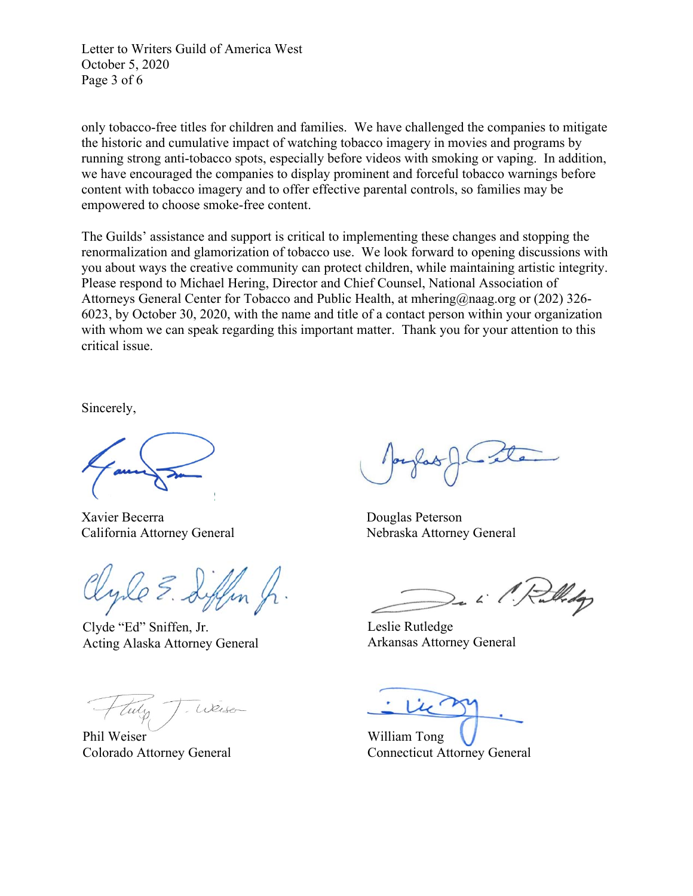Letter to Writers Guild of America West October 5, 2020 Page 3 of 6

only tobacco-free titles for children and families. We have challenged the companies to mitigate the historic and cumulative impact of watching tobacco imagery in movies and programs by running strong anti-tobacco spots, especially before videos with smoking or vaping. In addition, we have encouraged the companies to display prominent and forceful tobacco warnings before content with tobacco imagery and to offer effective parental controls, so families may be empowered to choose smoke-free content.

The Guilds' assistance and support is critical to implementing these changes and stopping the renormalization and glamorization of tobacco use. We look forward to opening discussions with you about ways the creative community can protect children, while maintaining artistic integrity. Please respond to Michael Hering, Director and Chief Counsel, National Association of Attorneys General Center for Tobacco and Public Health, at mhering@naag.org or (202) 326- 6023, by October 30, 2020, with the name and title of a contact person within your organization with whom we can speak regarding this important matter. Thank you for your attention to this critical issue.

Sincerely,

Xavier Becerra Douglas Peterson California Attorney General Nebraska Attorney General

Clyde "Ed" Sniffen, Jr. Acting Alaska Attorney General

Weise

Phil Weiser Colorado Attorney General

Widop

Leslie Rutledge Arkansas Attorney General

William Tong Connecticut Attorney General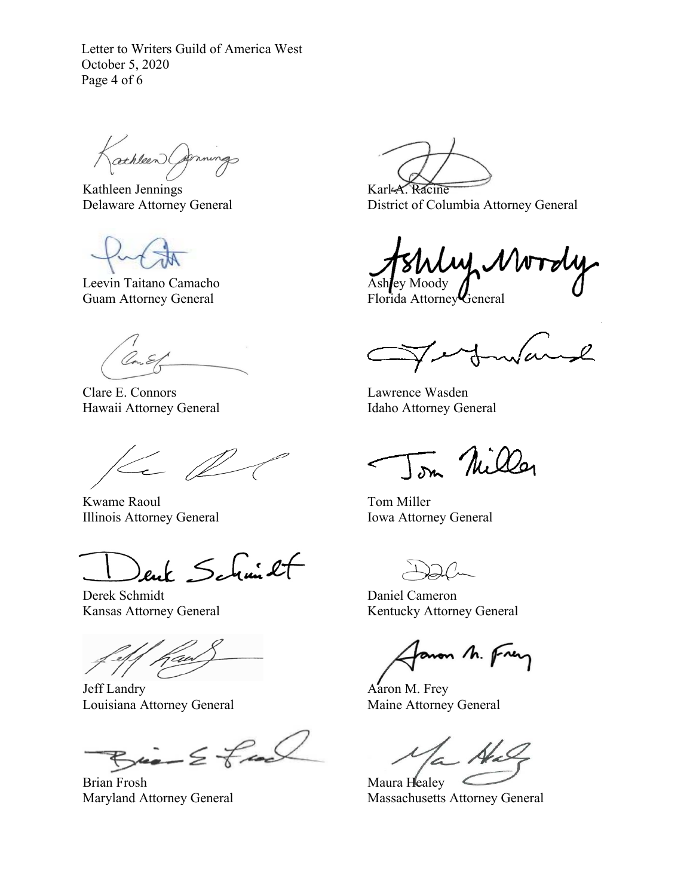Letter to Writers Guild of America West October 5, 2020 Page 4 of 6

athleen Carnings

Kathleen Jennings Delaware Attorney General

Leevin Taitano Camacho Guam Attorney General

Clare E. Connors Hawaii Attorney General

 $\leftarrow \mathbb{Z}$ 

Kwame Raoul Illinois Attorney General

ent Schmit

Derek Schmidt Kansas Attorney General

j

Jeff Landry Louisiana Attorney General

 $Bia - E$  feel

Brian Frosh Maryland Attorney General

Karl-A. Racine District of Columbia Attorney General

いん Ashley Moody

Florida Attorney General

 $\sqrt{\alpha}$  $\sim$ l

Lawrence Wasden Idaho Attorney General

Tom Nilla

Tom Miller Iowa Attorney General

Daniel Cameron Kentucky Attorney General

aron M. Frey

Aaron M. Frey Maine Attorney General

Maura Healey Massachusetts Attorney General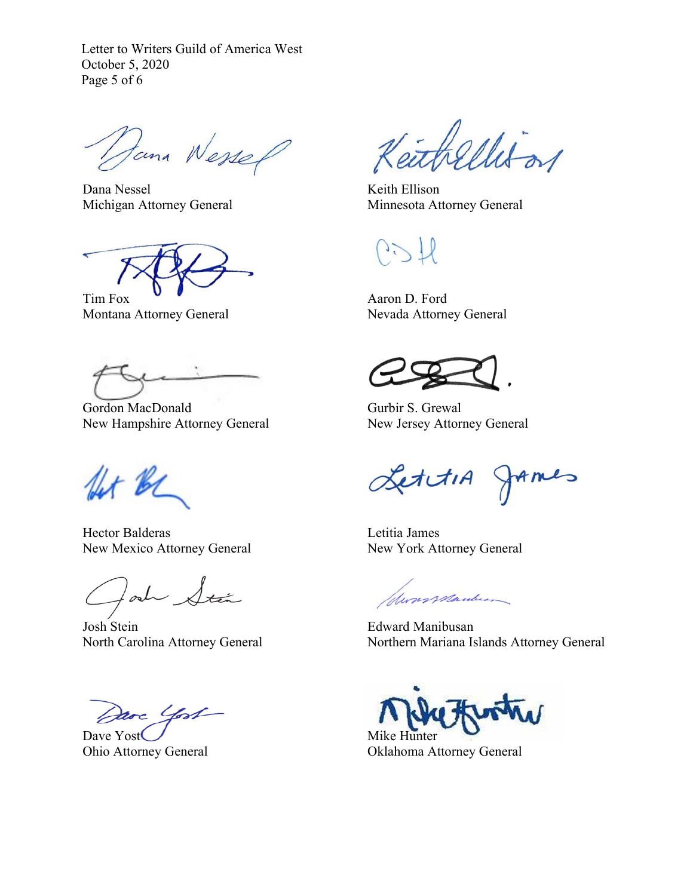Letter to Writers Guild of America West October 5, 2020 Page 5 of 6

Dana Wessel

Dana Nessel Michigan Attorney General

Tim Fox Montana Attorney General

Gordon MacDonald New Hampshire Attorney General

for be

Hector Balderas New Mexico Attorney General

lad Stán

Josh Stein North Carolina Attorney General

Dave Yost

Dave Yost Ohio Attorney General

thellison

Keith Ellison Minnesota Attorney General

 $\frac{1}{2}$ 

Aaron D. Ford Nevada Attorney General

Gurbir S. Grewal New Jersey Attorney General

LettiA JAmes

Letitia James New York Attorney General

formanderson

Edward Manibusan Northern Mariana Islands Attorney General

Mike Hunter

Oklahoma Attorney General